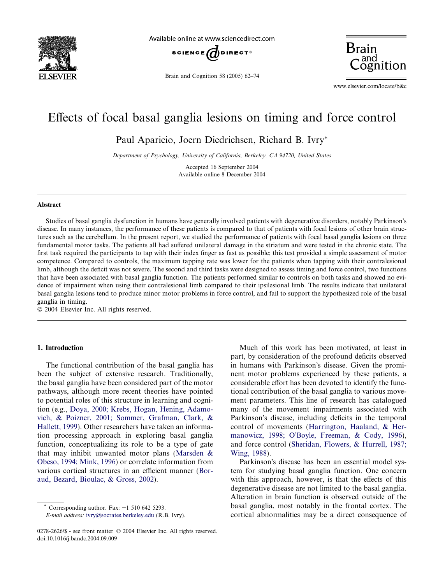

Available online at www.sciencedirect.com



Brain and Cognition 58 (2005) 62–74



www.elsevier.com/locate/b&c

# Effects of focal basal ganglia lesions on timing and force control

Paul Aparicio, Joern Diedrichsen, Richard B. Ivry\*

Department of Psychology, University of California, Berkeley, CA 94720, United States

Accepted 16 September 2004 Available online 8 December 2004

#### Abstract

Studies of basal ganglia dysfunction in humans have generally involved patients with degenerative disorders, notably Parkinson's disease. In many instances, the performance of these patients is compared to that of patients with focal lesions of other brain structures such as the cerebellum. In the present report, we studied the performance of patients with focal basal ganglia lesions on three fundamental motor tasks. The patients all had suffered unilateral damage in the striatum and were tested in the chronic state. The first task required the participants to tap with their index finger as fast as possible; this test provided a simple assessment of motor competence. Compared to controls, the maximum tapping rate was lower for the patients when tapping with their contralesional limb, although the deficit was not severe. The second and third tasks were designed to assess timing and force control, two functions that have been associated with basal ganglia function. The patients performed similar to controls on both tasks and showed no evidence of impairment when using their contralesional limb compared to their ipsilesional limb. The results indicate that unilateral basal ganglia lesions tend to produce minor motor problems in force control, and fail to support the hypothesized role of the basal ganglia in timing.

2004 Elsevier Inc. All rights reserved.

# 1. Introduction

The functional contribution of the basal ganglia has been the subject of extensive research. Traditionally, the basal ganglia have been considered part of the motor pathways, although more recent theories have pointed to potential roles of this structure in learning and cognition (e.g., [Doya, 2000; Krebs, Hogan, Hening, Adamo](#page-11-0)[vich, & Poizner, 2001; Sommer, Grafman, Clark, &](#page-11-0) [Hallett, 1999](#page-11-0)). Other researchers have taken an information processing approach in exploring basal ganglia function, conceptualizing its role to be a type of gate that may inhibit unwanted motor plans ([Marsden &](#page-12-0) [Obeso, 1994; Mink, 1996](#page-12-0)) or correlate information from various cortical structures in an efficient manner [\(Bor](#page-11-0)[aud, Bezard, Bioulac, & Gross, 2002](#page-11-0)).

Corresponding author. Fax:  $+1$  510 642 5293.

E-mail address: [ivry@socrates.berkeley.edu](mailto:ivry@socrates.berkeley.edu ) (R.B. Ivry).

Much of this work has been motivated, at least in part, by consideration of the profound deficits observed in humans with Parkinson's disease. Given the prominent motor problems experienced by these patients, a considerable effort has been devoted to identify the functional contribution of the basal ganglia to various movement parameters. This line of research has catalogued many of the movement impairments associated with Parkinson's disease, including deficits in the temporal control of movements ([Harrington, Haaland, & Her-](#page-11-0)manowicz, 1998; O'[Boyle, Freeman, & Cody, 1996\)](#page-11-0), and force control [\(Sheridan, Flowers, & Hurrell, 1987;](#page-12-0) [Wing, 1988\)](#page-12-0).

Parkinson's disease has been an essential model system for studying basal ganglia function. One concern with this approach, however, is that the effects of this degenerative disease are not limited to the basal ganglia. Alteration in brain function is observed outside of the basal ganglia, most notably in the frontal cortex. The cortical abnormalities may be a direct consequence of

<sup>0278-2626/\$ -</sup> see front matter © 2004 Elsevier Inc. All rights reserved. doi:10.1016/j.bandc.2004.09.009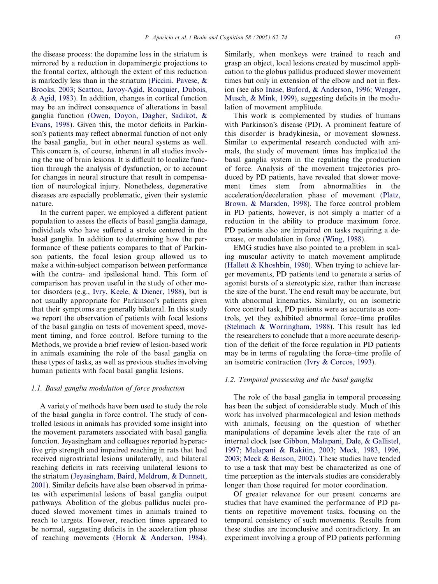the disease process: the dopamine loss in the striatum is mirrored by a reduction in dopaminergic projections to the frontal cortex, although the extent of this reduction is markedly less than in the striatum [\(Piccini, Pavese, &](#page-12-0) [Brooks, 2003; Scatton, Javoy-Agid, Rouquier, Dubois,](#page-12-0) [& Agid, 1983\)](#page-12-0). In addition, changes in cortical function may be an indirect consequence of alterations in basal ganglia function ([Owen, Doyon, Dagher, Sadikot, &](#page-12-0) [Evans, 1998](#page-12-0)). Given this, the motor deficits in Parkinson's patients may reflect abnormal function of not only the basal ganglia, but in other neural systems as well. This concern is, of course, inherent in all studies involving the use of brain lesions. It is difficult to localize function through the analysis of dysfunction, or to account for changes in neural structure that result in compensation of neurological injury. Nonetheless, degenerative diseases are especially problematic, given their systemic nature.

In the current paper, we employed a different patient population to assess the effects of basal ganglia damage, individuals who have suffered a stroke centered in the basal ganglia. In addition to determining how the performance of these patients compares to that of Parkinson patients, the focal lesion group allowed us to make a within-subject comparison between performance with the contra- and ipsilesional hand. This form of comparison has proven useful in the study of other motor disorders (e.g., [Ivry, Keele, & Diener, 1988](#page-12-0)), but is not usually appropriate for Parkinson's patients given that their symptoms are generally bilateral. In this study we report the observation of patients with focal lesions of the basal ganglia on tests of movement speed, movement timing, and force control. Before turning to the Methods, we provide a brief review of lesion-based work in animals examining the role of the basal ganglia on these types of tasks, as well as previous studies involving human patients with focal basal ganglia lesions.

# 1.1. Basal ganglia modulation of force production

A variety of methods have been used to study the role of the basal ganglia in force control. The study of controlled lesions in animals has provided some insight into the movement parameters associated with basal ganglia function. Jeyasingham and colleagues reported hyperactive grip strength and impaired reaching in rats that had received nigrostriatal lesions unilaterally, and bilateral reaching deficits in rats receiving unilateral lesions to the striatum ([Jeyasingham, Baird, Meldrum, & Dunnett,](#page-12-0) [2001](#page-12-0)). Similar deficits have also been observed in primates with experimental lesions of basal ganglia output pathways. Abolition of the globus pallidus nuclei produced slowed movement times in animals trained to reach to targets. However, reaction times appeared to be normal, suggesting deficits in the acceleration phase of reaching movements [\(Horak & Anderson, 1984\)](#page-12-0).

Similarly, when monkeys were trained to reach and grasp an object, local lesions created by muscimol application to the globus pallidus produced slower movement times but only in extension of the elbow and not in flexion (see also [Inase, Buford, & Anderson, 1996; Wenger,](#page-12-0) [Musch, & Mink, 1999](#page-12-0)), suggesting deficits in the modulation of movement amplitude.

This work is complemented by studies of humans with Parkinson's disease (PD). A prominent feature of this disorder is bradykinesia, or movement slowness. Similar to experimental research conducted with animals, the study of movement times has implicated the basal ganglia system in the regulating the production of force. Analysis of the movement trajectories produced by PD patients, have revealed that slower movement times stem from abnormalities in the acceleration/deceleration phase of movement [\(Platz,](#page-12-0) [Brown, & Marsden, 1998\)](#page-12-0). The force control problem in PD patients, however, is not simply a matter of a reduction in the ability to produce maximum force. PD patients also are impaired on tasks requiring a decrease, or modulation in force [\(Wing, 1988\)](#page-12-0).

EMG studies have also pointed to a problem in scaling muscular activity to match movement amplitude ([Hallett & Khoshbin, 1980](#page-11-0)). When trying to achieve larger movements, PD patients tend to generate a series of agonist bursts of a stereotypic size, rather than increase the size of the burst. The end result may be accurate, but with abnormal kinematics. Similarly, on an isometric force control task, PD patients were as accurate as controls, yet they exhibited abnormal force–time profiles ([Stelmach & Worringham, 1988\)](#page-12-0). This result has led the researchers to conclude that a more accurate description of the deficit of the force regulation in PD patients may be in terms of regulating the force–time profile of an isometric contraction [\(Ivry & Corcos, 1993](#page-12-0)).

# 1.2. Temporal prossessing and the basal ganglia

The role of the basal ganglia in temporal processing has been the subject of considerable study. Much of this work has involved pharmacological and lesion methods with animals, focusing on the question of whether manipulations of dopamine levels alter the rate of an internal clock (see [Gibbon, Malapani, Dale, & Gallistel,](#page-11-0) [1997; Malapani & Rakitin, 2003; Meck, 1983, 1996,](#page-11-0) [2003; Meck & Benson, 2002](#page-11-0)). These studies have tended to use a task that may best be characterized as one of time perception as the intervals studies are considerably longer than those required for motor coordination.

Of greater relevance for our present concerns are studies that have examined the performance of PD patients on repetitive movement tasks, focusing on the temporal consistency of such movements. Results from these studies are inconclusive and contradictory. In an experiment involving a group of PD patients performing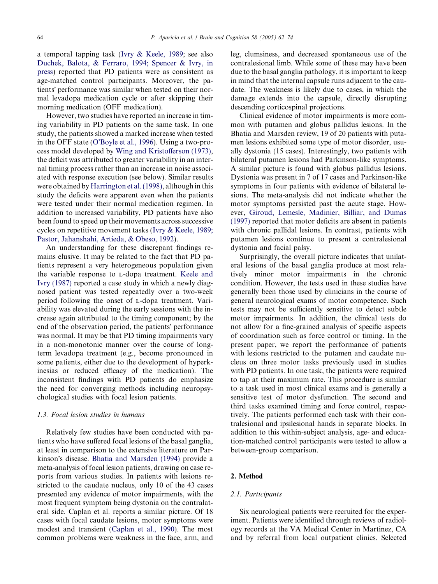a temporal tapping task [\(Ivry & Keele, 1989](#page-12-0); see also [Duchek, Balota, & Ferraro, 1994; Spencer & Ivry, in](#page-11-0) [press](#page-11-0)) reported that PD patients were as consistent as age-matched control participants. Moreover, the patients' performance was similar when tested on their normal levadopa medication cycle or after skipping their morning medication (OFF medication).

However, two studies have reported an increase in timing variability in PD patients on the same task. In one study, the patients showed a marked increase when tested in the OFF state (O'[Boyle et al., 1996](#page-12-0)). Using a two-process model developed by [Wing and Kristofferson \(1973\)](#page-12-0), the deficit was attributed to greater variability in an internal timing process rather than an increase in noise associated with response execution (see below). Similar results were obtained by [Harrington et al. \(1998\),](#page-11-0) although in this study the deficits were apparent even when the patients were tested under their normal medication regimen. In addition to increased variability, PD patients have also been found to speed up their movements across successive cycles on repetitive movement tasks ([Ivry & Keele, 1989;](#page-12-0) [Pastor, Jahanshahi, Artieda, & Obeso, 1992](#page-12-0)).

An understanding for these discrepant findings remains elusive. It may be related to the fact that PD patients represent a very heterogeneous population given the variable response to L-dopa treatment. [Keele and](#page-12-0) [Ivry \(1987\)](#page-12-0) reported a case study in which a newly diagnosed patient was tested repeatedly over a two-week period following the onset of L-dopa treatment. Variability was elevated during the early sessions with the increase again attributed to the timing component; by the end of the observation period, the patients' performance was normal. It may be that PD timing impairments vary in a non-monotonic manner over the course of longterm levadopa treatment (e.g., become pronounced in some patients, either due to the development of hyperkinesias or reduced efficacy of the medication). The inconsistent findings with PD patients do emphasize the need for converging methods including neuropsychological studies with focal lesion patients.

## 1.3. Focal lesion studies in humans

Relatively few studies have been conducted with patients who have suffered focal lesions of the basal ganglia, at least in comparison to the extensive literature on Par-kinson's disease. [Bhatia and Marsden \(1994\)](#page-11-0) provide a meta-analysis of focal lesion patients, drawing on case reports from various studies. In patients with lesions restricted to the caudate nucleus, only 10 of the 43 cases presented any evidence of motor impairments, with the most frequent symptom being dystonia on the contralateral side. Caplan et al. reports a similar picture. Of 18 cases with focal caudate lesions, motor symptoms were modest and transient ([Caplan et al., 1990](#page-11-0)). The most common problems were weakness in the face, arm, and leg, clumsiness, and decreased spontaneous use of the contralesional limb. While some of these may have been due to the basal ganglia pathology, it is important to keep in mind that the internal capsule runs adjacent to the caudate. The weakness is likely due to cases, in which the damage extends into the capsule, directly disrupting descending corticospinal projections.

Clinical evidence of motor impairments is more common with putamen and globus pallidus lesions. In the Bhatia and Marsden review, 19 of 20 patients with putamen lesions exhibited some type of motor disorder, usually dystonia (15 cases). Interestingly, two patients with bilateral putamen lesions had Parkinson-like symptoms. A similar picture is found with globus pallidus lesions. Dystonia was present in 7 of 17 cases and Parkinson-like symptoms in four patients with evidence of bilateral lesions. The meta-analysis did not indicate whether the motor symptoms persisted past the acute stage. However, [Giroud, Lemesle, Madinier, Billiar, and Dumas](#page-11-0) [\(1997\)](#page-11-0) reported that motor deficits are absent in patients with chronic pallidal lesions. In contrast, patients with putamen lesions continue to present a contralesional dystonia and facial palsy.

Surprisingly, the overall picture indicates that unilateral lesions of the basal ganglia produce at most relatively minor motor impairments in the chronic condition. However, the tests used in these studies have generally been those used by clinicians in the course of general neurological exams of motor competence. Such tests may not be sufficiently sensitive to detect subtle motor impairments. In addition, the clinical tests do not allow for a fine-grained analysis of specific aspects of coordination such as force control or timing. In the present paper, we report the performance of patients with lesions restricted to the putamen and caudate nucleus on three motor tasks previously used in studies with PD patients. In one task, the patients were required to tap at their maximum rate. This procedure is similar to a task used in most clinical exams and is generally a sensitive test of motor dysfunction. The second and third tasks examined timing and force control, respectively. The patients performed each task with their contralesional and ipsilesional hands in separate blocks. In addition to this within-subject analysis, age- and education-matched control participants were tested to allow a between-group comparison.

### 2. Method

### 2.1. Participants

Six neurological patients were recruited for the experiment. Patients were identified through reviews of radiology records at the VA Medical Center in Martinez, CA and by referral from local outpatient clinics. Selected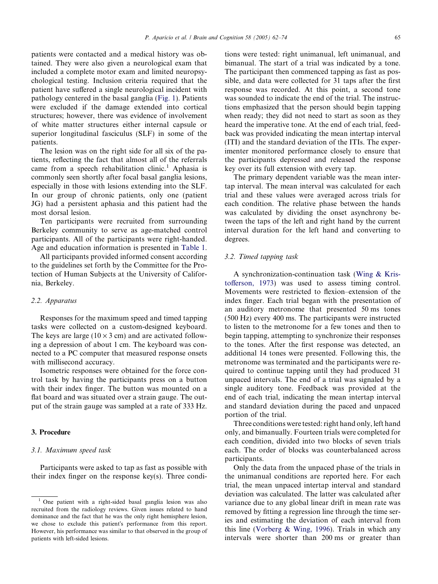patients were contacted and a medical history was obtained. They were also given a neurological exam that included a complete motor exam and limited neuropsychological testing. Inclusion criteria required that the patient have suffered a single neurological incident with pathology centered in the basal ganglia [\(Fig. 1\)](#page-4-0). Patients were excluded if the damage extended into cortical structures; however, there was evidence of involvement of white matter structures either internal capsule or superior longitudinal fasciculus (SLF) in some of the patients.

The lesion was on the right side for all six of the patients, reflecting the fact that almost all of the referrals came from a speech rehabilitation clinic.<sup>1</sup> Aphasia is commonly seen shortly after focal basal ganglia lesions, especially in those with lesions extending into the SLF. In our group of chronic patients, only one (patient JG) had a persistent aphasia and this patient had the most dorsal lesion.

Ten participants were recruited from surrounding Berkeley community to serve as age-matched control participants. All of the participants were right-handed. Age and education information is presented in [Table 1.](#page-5-0)

All participants provided informed consent according to the guidelines set forth by the Committee for the Protection of Human Subjects at the University of California, Berkeley.

#### 2.2. Apparatus

Responses for the maximum speed and timed tapping tasks were collected on a custom-designed keyboard. The keys are large ( $10 \times 3$  cm) and are activated following a depression of about 1 cm. The keyboard was connected to a PC computer that measured response onsets with millisecond accuracy.

Isometric responses were obtained for the force control task by having the participants press on a button with their index finger. The button was mounted on a flat board and was situated over a strain gauge. The output of the strain gauge was sampled at a rate of 333 Hz.

## 3. Procedure

## 3.1. Maximum speed task

Participants were asked to tap as fast as possible with their index finger on the response key(s). Three conditions were tested: right unimanual, left unimanual, and bimanual. The start of a trial was indicated by a tone. The participant then commenced tapping as fast as possible, and data were collected for 31 taps after the first response was recorded. At this point, a second tone was sounded to indicate the end of the trial. The instructions emphasized that the person should begin tapping when ready; they did not need to start as soon as they heard the imperative tone. At the end of each trial, feedback was provided indicating the mean intertap interval (ITI) and the standard deviation of the ITIs. The experimenter monitored performance closely to ensure that the participants depressed and released the response key over its full extension with every tap.

The primary dependent variable was the mean intertap interval. The mean interval was calculated for each trial and these values were averaged across trials for each condition. The relative phase between the hands was calculated by dividing the onset asynchrony between the taps of the left and right hand by the current interval duration for the left hand and converting to degrees.

# 3.2. Timed tapping task

A synchronization-continuation task [\(Wing & Kris](#page-12-0)[tofferson, 1973](#page-12-0)) was used to assess timing control. Movements were restricted to flexion–extension of the index finger. Each trial began with the presentation of an auditory metronome that presented 50 ms tones (500 Hz) every 400 ms. The participants were instructed to listen to the metronome for a few tones and then to begin tapping, attempting to synchronize their responses to the tones. After the first response was detected, an additional 14 tones were presented. Following this, the metronome was terminated and the participants were required to continue tapping until they had produced 31 unpaced intervals. The end of a trial was signaled by a single auditory tone. Feedback was provided at the end of each trial, indicating the mean intertap interval and standard deviation during the paced and unpaced portion of the trial.

Three conditions were tested: right hand only, left hand only, and bimanually. Fourteen trials were completed for each condition, divided into two blocks of seven trials each. The order of blocks was counterbalanced across participants.

Only the data from the unpaced phase of the trials in the unimanual conditions are reported here. For each trial, the mean unpaced intertap interval and standard deviation was calculated. The latter was calculated after variance due to any global linear drift in mean rate was removed by fitting a regression line through the time series and estimating the deviation of each interval from this line ([Vorberg & Wing, 1996\)](#page-12-0). Trials in which any intervals were shorter than 200 ms or greater than

<sup>1</sup> One patient with a right-sided basal ganglia lesion was also recruited from the radiology reviews. Given issues related to hand dominance and the fact that he was the only right hemisphere lesion, we chose to exclude this patient's performance from this report. However, his performance was similar to that observed in the group of patients with left-sided lesions.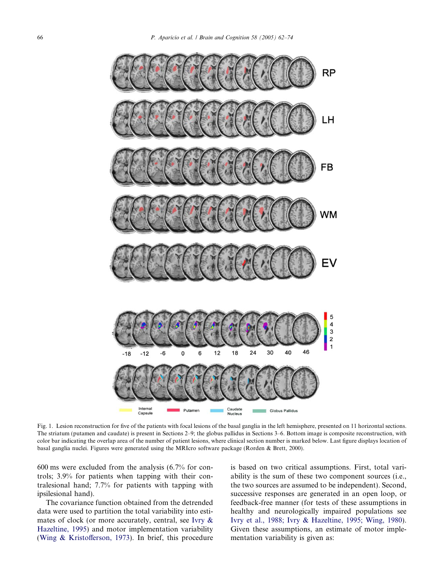<span id="page-4-0"></span>

Fig. 1. Lesion reconstruction for five of the patients with focal lesions of the basal ganglia in the left hemisphere, presented on 11 horizontal sections. The striatum (putamen and caudate) is present in Sections 2–9; the globus pallidus in Sections 3–6. Bottom image is composite reconstruction, with color bar indicating the overlap area of the number of patient lesions, where clinical section number is marked below. Last figure displays location of basal ganglia nuclei. Figures were generated using the MRIcro software package (Rorden & Brett, 2000).

600 ms were excluded from the analysis (6.7% for controls; 3.9% for patients when tapping with their contralesional hand; 7.7% for patients with tapping with ipsilesional hand).

The covariance function obtained from the detrended data were used to partition the total variability into estimates of clock (or more accurately, central, see [Ivry &](#page-12-0) [Hazeltine, 1995\)](#page-12-0) and motor implementation variability ([Wing & Kristofferson, 1973](#page-12-0)). In brief, this procedure is based on two critical assumptions. First, total variability is the sum of these two component sources (i.e., the two sources are assumed to be independent). Second, successive responses are generated in an open loop, or feedback-free manner (for tests of these assumptions in healthy and neurologically impaired populations see [Ivry et al., 1988; Ivry & Hazeltine, 1995; Wing, 1980\)](#page-12-0). Given these assumptions, an estimate of motor implementation variability is given as: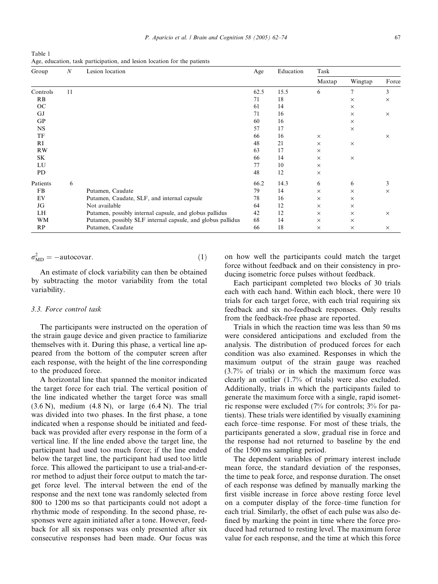<span id="page-5-0"></span>Table 1 Age, education, task participation, and lesion location for the patients

| Group     | $\boldsymbol{N}$ | Lesion location                                             | Age  | Education | Task     |          |          |
|-----------|------------------|-------------------------------------------------------------|------|-----------|----------|----------|----------|
|           |                  |                                                             |      |           | Maxtap   | Wingtap  | Force    |
| Controls  | 11               |                                                             | 62.5 | 15.5      | 6        | 7        | 3        |
| <b>RB</b> |                  |                                                             | 71   | 18        |          | $\times$ | $\times$ |
| OC        |                  |                                                             | 61   | 14        |          | $\times$ |          |
| GJ        |                  |                                                             | 71   | 16        |          | $\times$ | $\times$ |
| GP        |                  |                                                             | 60   | 16        |          | $\times$ |          |
| <b>NS</b> |                  |                                                             | 57   | 17        |          | $\times$ |          |
| TF        |                  |                                                             | 66   | 16        | $\times$ |          | $\times$ |
| RI        |                  |                                                             | 48   | 21        | $\times$ | $\times$ |          |
| RW        |                  |                                                             | 63   | 17        | $\times$ |          |          |
| SK        |                  |                                                             | 66   | 14        | $\times$ | $\times$ |          |
| LU        |                  |                                                             | 77   | 10        | $\times$ |          |          |
| PD        |                  |                                                             | 48   | 12        | $\times$ |          |          |
| Patients  | 6                |                                                             | 66.2 | 14.3      | 6        | 6        | 3        |
| FB        |                  | Putamen, Caudate                                            | 79   | 14        | $\times$ | $\times$ | $\times$ |
| EV        |                  | Putamen, Caudate, SLF, and internal capsule                 | 78   | 16        | $\times$ | $\times$ |          |
| JG        |                  | Not available                                               | 64   | 12        | $\times$ | X        |          |
| LH        |                  | Putamen, possibly internal capsule, and globus pallidus     | 42   | 12        | $\times$ | $\times$ | $\times$ |
| <b>WM</b> |                  | Putamen, possibly SLF internal capsule, and globus pallidus | 68   | 14        | $\times$ | $\times$ |          |
| RP        |                  | Putamen, Caudate                                            | 66   | 18        | $\times$ | $\times$ | $\times$ |

$$
\sigma_{MD}^2 = -autocovar. \tag{1}
$$

An estimate of clock variability can then be obtained by subtracting the motor variability from the total variability.

## 3.3. Force control task

The participants were instructed on the operation of the strain gauge device and given practice to familiarize themselves with it. During this phase, a vertical line appeared from the bottom of the computer screen after each response, with the height of the line corresponding to the produced force.

A horizontal line that spanned the monitor indicated the target force for each trial. The vertical position of the line indicated whether the target force was small  $(3.6 \text{ N})$ , medium  $(4.8 \text{ N})$ , or large  $(6.4 \text{ N})$ . The trial was divided into two phases. In the first phase, a tone indicated when a response should be initiated and feedback was provided after every response in the form of a vertical line. If the line ended above the target line, the participant had used too much force; if the line ended below the target line, the participant had used too little force. This allowed the participant to use a trial-and-error method to adjust their force output to match the target force level. The interval between the end of the response and the next tone was randomly selected from 800 to 1200 ms so that participants could not adopt a rhythmic mode of responding. In the second phase, responses were again initiated after a tone. However, feedback for all six responses was only presented after six consecutive responses had been made. Our focus was

on how well the participants could match the target force without feedback and on their consistency in producing isometric force pulses without feedback.

Each participant completed two blocks of 30 trials each with each hand. Within each block, there were 10 trials for each target force, with each trial requiring six feedback and six no-feedback responses. Only results from the feedback-free phase are reported.

Trials in which the reaction time was less than 50 ms were considered anticipations and excluded from the analysis. The distribution of produced forces for each condition was also examined. Responses in which the maximum output of the strain gauge was reached (3.7% of trials) or in which the maximum force was clearly an outlier (1.7% of trials) were also excluded. Additionally, trials in which the participants failed to generate the maximum force with a single, rapid isometric response were excluded (7% for controls; 3% for patients). These trials were identified by visually examining each force–time response. For most of these trials, the participants generated a slow, gradual rise in force and the response had not returned to baseline by the end of the 1500 ms sampling period.

The dependent variables of primary interest include mean force, the standard deviation of the responses, the time to peak force, and response duration. The onset of each response was defined by manually marking the first visible increase in force above resting force level on a computer display of the force–time function for each trial. Similarly, the offset of each pulse was also defined by marking the point in time where the force produced had returned to resting level. The maximum force value for each response, and the time at which this force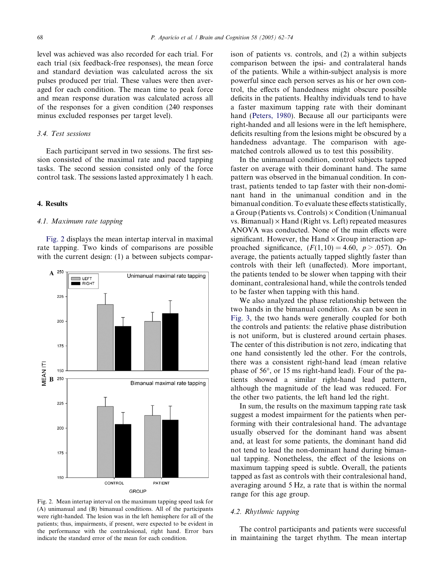level was achieved was also recorded for each trial. For each trial (six feedback-free responses), the mean force and standard deviation was calculated across the six pulses produced per trial. These values were then averaged for each condition. The mean time to peak force and mean response duration was calculated across all of the responses for a given condition (240 responses minus excluded responses per target level).

## 3.4. Test sessions

Each participant served in two sessions. The first session consisted of the maximal rate and paced tapping tasks. The second session consisted only of the force control task. The sessions lasted approximately 1 h each.

# 4. Results

#### 4.1. Maximum rate tapping

Fig. 2 displays the mean intertap interval in maximal rate tapping. Two kinds of comparisons are possible with the current design: (1) a between subjects compar-



Fig. 2. Mean intertap interval on the maximum tapping speed task for (A) unimanual and (B) bimanual conditions. All of the participants were right-handed. The lesion was in the left hemisphere for all of the patients; thus, impairments, if present, were expected to be evident in the performance with the contralesional, right hand. Error bars indicate the standard error of the mean for each condition.

ison of patients vs. controls, and (2) a within subjects comparison between the ipsi- and contralateral hands of the patients. While a within-subject analysis is more powerful since each person serves as his or her own control, the effects of handedness might obscure possible deficits in the patients. Healthy individuals tend to have a faster maximum tapping rate with their dominant hand ([Peters, 1980\)](#page-12-0). Because all our participants were right-handed and all lesions were in the left hemisphere, deficits resulting from the lesions might be obscured by a handedness advantage. The comparison with agematched controls allowed us to test this possibility.

In the unimanual condition, control subjects tapped faster on average with their dominant hand. The same pattern was observed in the bimanual condition. In contrast, patients tended to tap faster with their non-dominant hand in the unimanual condition and in the bimanual condition. To evaluate these effects statistically, a Group (Patients vs. Controls)  $\times$  Condition (Unimanual vs. Bimanual)  $\times$  Hand (Right vs. Left) repeated measures ANOVA was conducted. None of the main effects were significant. However, the Hand  $\times$  Group interaction approached significance,  $(F(1, 10) = 4.60, p > .057)$ . On average, the patients actually tapped slightly faster than controls with their left (unaffected). More important, the patients tended to be slower when tapping with their dominant, contralesional hand, while the controls tended to be faster when tapping with this hand.

We also analyzed the phase relationship between the two hands in the bimanual condition. As can be seen in [Fig. 3,](#page-7-0) the two hands were generally coupled for both the controls and patients: the relative phase distribution is not uniform, but is clustered around certain phases. The center of this distribution is not zero, indicating that one hand consistently led the other. For the controls, there was a consistent right-hand lead (mean relative phase of 56°, or 15 ms right-hand lead). Four of the patients showed a similar right-hand lead pattern, although the magnitude of the lead was reduced. For the other two patients, the left hand led the right.

In sum, the results on the maximum tapping rate task suggest a modest impairment for the patients when performing with their contralesional hand. The advantage usually observed for the dominant hand was absent and, at least for some patients, the dominant hand did not tend to lead the non-dominant hand during bimanual tapping. Nonetheless, the effect of the lesions on maximum tapping speed is subtle. Overall, the patients tapped as fast as controls with their contralesional hand, averaging around 5 Hz, a rate that is within the normal range for this age group.

### 4.2. Rhythmic tapping

The control participants and patients were successful in maintaining the target rhythm. The mean intertap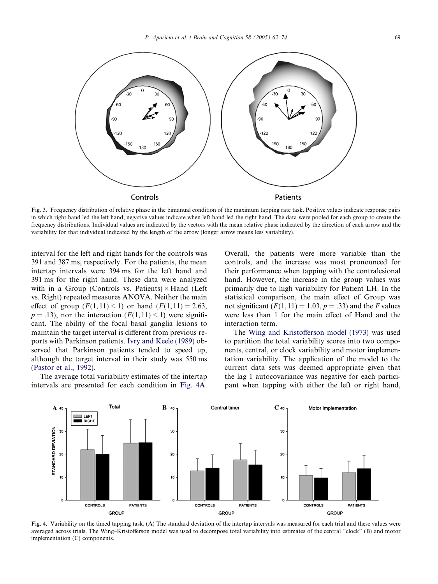<span id="page-7-0"></span>

Fig. 3. Frequency distribution of relative phase in the bimanual condition of the maximum tapping rate task. Positive values indicate response pairs in which right hand led the left hand; negative values indicate when left hand led the right hand. The data were pooled for each group to create the frequency distributions. Individual values are indicated by the vectors with the mean relative phase indicated by the direction of each arrow and the variability for that individual indicated by the length of the arrow (longer arrow means less variability).

interval for the left and right hands for the controls was 391 and 387 ms, respectively. For the patients, the mean intertap intervals were 394 ms for the left hand and 391 ms for the right hand. These data were analyzed with in a Group (Controls vs. Patients)  $\times$  Hand (Left vs. Right) repeated measures ANOVA. Neither the main effect of group  $(F(1, 11) < 1)$  or hand  $(F(1, 11) = 2.63)$ ,  $p = .13$ ), nor the interaction  $(F(1, 11) \le 1)$  were significant. The ability of the focal basal ganglia lesions to maintain the target interval is different from previous reports with Parkinson patients. [Ivry and Keele \(1989\)](#page-12-0) observed that Parkinson patients tended to speed up, although the target interval in their study was 550 ms ([Pastor et al., 1992](#page-12-0)).

The average total variability estimates of the intertap intervals are presented for each condition in Fig. 4A.

Overall, the patients were more variable than the controls, and the increase was most pronounced for their performance when tapping with the contralesional hand. However, the increase in the group values was primarily due to high variability for Patient LH. In the statistical comparison, the main effect of Group was not significant  $(F(1, 11) = 1.03, p = .33)$  and the F values were less than 1 for the main effect of Hand and the interaction term.

The [Wing and Kristofferson model \(1973\)](#page-12-0) was used to partition the total variability scores into two components, central, or clock variability and motor implementation variability. The application of the model to the current data sets was deemed appropriate given that the lag 1 autocovariance was negative for each participant when tapping with either the left or right hand,



Fig. 4. Variability on the timed tapping task. (A) The standard deviation of the intertap intervals was measured for each trial and these values were averaged across trials. The Wing–Kristofferson model was used to decompose total variability into estimates of the central ''clock'' (B) and motor implementation (C) components.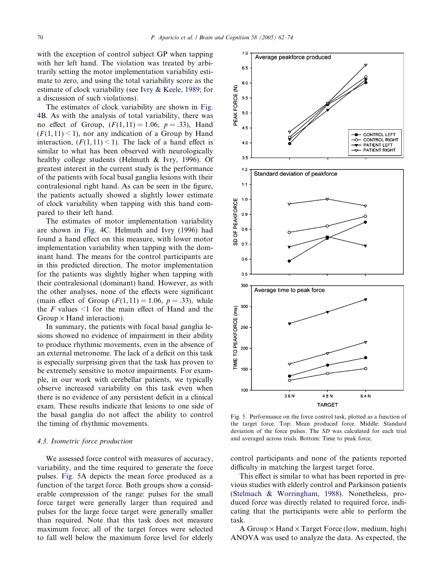<span id="page-8-0"></span>with the exception of control subject GP when tapping with her left hand. The violation was treated by arbitrarily setting the motor implementation variability estimate to zero, and using the total variability score as the estimate of clock variability (see [Ivry & Keele, 1989;](#page-12-0) for a discussion of such violations).

The estimates of clock variability are shown in [Fig.](#page-7-0) [4B](#page-7-0). As with the analysis of total variability, there was no effect of Group,  $(F(1, 11) = 1.06, p = .33)$ , Hand  $(F(1, 11) \le 1)$ , nor any indication of a Group by Hand interaction,  $(F(1, 11) \le 1)$ . The lack of a hand effect is similar to what has been observed with neurologically healthy college students (Helmuth & Ivry, 1996). Of greatest interest in the current study is the performance of the patients with focal basal ganglia lesions with their contralesional right hand. As can be seen in the figure, the patients actually showed a slightly lower estimate of clock variability when tapping with this hand compared to their left hand.

The estimates of motor implementation variability are shown in [Fig. 4](#page-7-0)C. Helmuth and Ivry (1996) had found a hand effect on this measure, with lower motor implementation variability when tapping with the dominant hand. The means for the control participants are in this predicted direction. The motor implementation for the patients was slightly higher when tapping with their contralesional (dominant) hand. However, as with the other analyses, none of the effects were significant (main effect of Group  $(F(1, 11) = 1.06, p = .33)$ , while the  $F$  values  $\leq 1$  for the main effect of Hand and the  $Group \times Hand$  interaction).

In summary, the patients with focal basal ganglia lesions showed no evidence of impairment in their ability to produce rhythmic movements, even in the absence of an external metronome. The lack of a deficit on this task is especially surprising given that the task has proven to be extremely sensitive to motor impairments. For example, in our work with cerebellar patients, we typically observe increased variability on this task even when there is no evidence of any persistent deficit in a clinical exam. These results indicate that lesions to one side of the basal ganglia do not affect the ability to control the timing of rhythmic movements.

#### 4.3. Isometric force production

We assessed force control with measures of accuracy, variability, and the time required to generate the force pulses. Fig. 5A depicts the mean force produced as a function of the target force. Both groups show a considerable compression of the range: pulses for the small force target were generally larger than required and pulses for the large force target were generally smaller than required. Note that this task does not measure maximum force; all of the target forces were selected to fall well below the maximum force level for elderly



Fig. 5. Performance on the force control task, plotted as a function of the target force. Top: Mean produced force. Middle: Standard deviation of the force pulses. The SD was calculated for each trial and averaged across trials. Bottom: Time to peak force.

control participants and none of the patients reported difficulty in matching the largest target force.

This effect is similar to what has been reported in previous studies with elderly control and Parkinson patients ([Stelmach & Worringham, 1988](#page-12-0)). Nonetheless, produced force was directly related to required force, indicating that the participants were able to perform the task.

A Group  $\times$  Hand  $\times$  Target Force (low, medium, high) ANOVA was used to analyze the data. As expected, the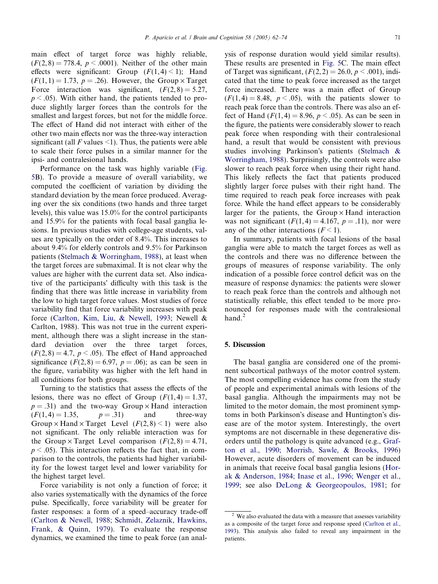main effect of target force was highly reliable,  $(F(2, 8) = 778.4, p < .0001)$ . Neither of the other main effects were significant: Group  $(F(1, 4) \le 1)$ ; Hand  $(F(1, 1) = 1.73, p = .26)$ . However, the Group  $\times$  Target Force interaction was significant,  $(F(2, 8) = 5.27$ ,  $p < .05$ ). With either hand, the patients tended to produce slightly larger forces than the controls for the smallest and largest forces, but not for the middle force. The effect of Hand did not interact with either of the other two main effects nor was the three-way interaction significant (all F values  $\leq$ 1). Thus, the patients were able to scale their force pulses in a similar manner for the ipsi- and contralesional hands.

Performance on the task was highly variable ([Fig.](#page-8-0) [5B](#page-8-0)). To provide a measure of overall variability, we computed the coefficient of variation by dividing the standard deviation by the mean force produced. Averaging over the six conditions (two hands and three target levels), this value was 15.0% for the control participants and 15.9% for the patients with focal basal ganglia lesions. In previous studies with college-age students, values are typically on the order of 8.4%. This increases to about 9.4% for elderly controls and 9.5% for Parkinson patients ([Stelmach & Worringham, 1988](#page-12-0)), at least when the target forces are submaximal. It is not clear why the values are higher with the current data set. Also indicative of the participants' difficulty with this task is the finding that there was little increase in variability from the low to high target force values. Most studies of force variability find that force variability increases with peak force [\(Carlton, Kim, Liu, & Newell, 1993;](#page-11-0) Newell & Carlton, 1988). This was not true in the current experiment, although there was a slight increase in the standard deviation over the three target forces,  $(F(2, 8) = 4.7, p \le 0.05)$ . The effect of Hand approached significance ( $F(2, 8) = 6.97$ ,  $p = .06$ ); as can be seen in the figure, variability was higher with the left hand in all conditions for both groups.

Turning to the statistics that assess the effects of the lesions, there was no effect of Group  $(F(1, 4) = 1.37,$  $p = .31$ ) and the two-way Group  $\times$  Hand interaction  $(F(1, 4) = 1.35,$   $p = .31)$  and three-way Group  $\times$  Hand  $\times$  Target Level ( $F(2, 8)$  < 1) were also not significant. The only reliable interaction was for the Group  $\times$  Target Level comparison ( $F(2, 8) = 4.71$ ,  $p < .05$ ). This interaction reflects the fact that, in comparison to the controls, the patients had higher variability for the lowest target level and lower variability for the highest target level.

Force variability is not only a function of force; it also varies systematically with the dynamics of the force pulse. Specifically, force variability will be greater for faster responses: a form of a speed–accuracy trade-off ([Carlton & Newell, 1988; Schmidt, Zelaznik, Hawkins,](#page-11-0) [Frank, & Quinn, 1979](#page-11-0)). To evaluate the response dynamics, we examined the time to peak force (an analysis of response duration would yield similar results). These results are presented in [Fig. 5C](#page-8-0). The main effect of Target was significant,  $(F(2, 2) = 26.0, p \lt 0.001)$ , indicated that the time to peak force increased as the target force increased. There was a main effect of Group  $(F(1, 4) = 8.48, p \leq .05)$ , with the patients slower to reach peak force than the controls. There was also an effect of Hand ( $F(1, 4) = 8.96, p < .05$ ). As can be seen in the figure, the patients were considerably slower to reach peak force when responding with their contralesional hand, a result that would be consistent with previous studies involving Parkinson's patients ([Stelmach &](#page-12-0) [Worringham, 1988\)](#page-12-0). Surprisingly, the controls were also slower to reach peak force when using their right hand. This likely reflects the fact that patients produced slightly larger force pulses with their right hand. The time required to reach peak force increases with peak force. While the hand effect appears to be considerably larger for the patients, the Group  $\times$  Hand interaction was not significant  $(F(1, 4) = 4.167, p = .11)$ , nor were any of the other interactions  $(F < 1)$ .

In summary, patients with focal lesions of the basal ganglia were able to match the target forces as well as the controls and there was no difference between the groups of measures of response variability. The only indication of a possible force control deficit was on the measure of response dynamics: the patients were slower to reach peak force than the controls and although not statistically reliable, this effect tended to be more pronounced for responses made with the contralesional hand. $<sup>2</sup>$ </sup>

# 5. Discussion

The basal ganglia are considered one of the prominent subcortical pathways of the motor control system. The most compelling evidence has come from the study of people and experimental animals with lesions of the basal ganglia. Although the impairments may not be limited to the motor domain, the most prominent symptoms in both Parkinson's disease and Huntington's disease are of the motor system. Interestingly, the overt symptoms are not discernable in these degenerative disorders until the pathology is quite advanced (e.g., [Graf](#page-11-0)[ton et al., 1990; Morrish, Sawle, & Brooks, 1996](#page-11-0)) However, acute disorders of movement can be induced in animals that receive focal basal ganglia lesions ([Hor](#page-12-0)[ak & Anderson, 1984; Inase et al., 1996; Wenger et al.,](#page-12-0) [1999](#page-12-0); see also [DeLong & Georgeopoulos, 1981](#page-11-0); for

 $2 \text{ }$  We also evaluated the data with a measure that assesses variability as a composite of the target force and response speed [\(Carlton et al.,](#page-11-0) [1993](#page-11-0)). This analysis also failed to reveal any impairment in the patients.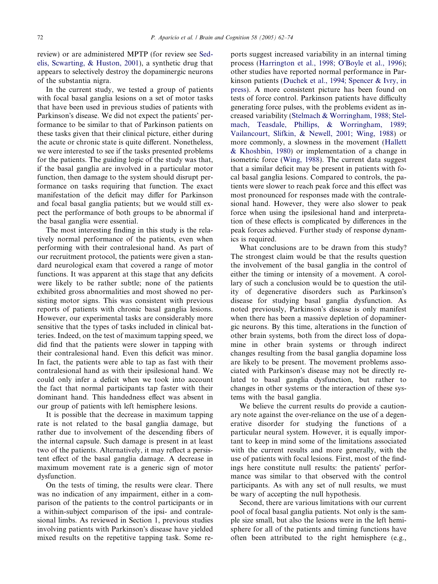review) or are administered MPTP (for review see [Sed](#page-12-0)[elis, Scwarting, & Huston, 2001](#page-12-0)), a synthetic drug that appears to selectively destroy the dopaminergic neurons of the substantia nigra.

In the current study, we tested a group of patients with focal basal ganglia lesions on a set of motor tasks that have been used in previous studies of patients with Parkinson's disease. We did not expect the patients' performance to be similar to that of Parkinson patients on these tasks given that their clinical picture, either during the acute or chronic state is quite different. Nonetheless, we were interested to see if the tasks presented problems for the patients. The guiding logic of the study was that, if the basal ganglia are involved in a particular motor function, then damage to the system should disrupt performance on tasks requiring that function. The exact manifestation of the deficit may differ for Parkinson and focal basal ganglia patients; but we would still expect the performance of both groups to be abnormal if the basal ganglia were essential.

The most interesting finding in this study is the relatively normal performance of the patients, even when performing with their contralesional hand. As part of our recruitment protocol, the patients were given a standard neurological exam that covered a range of motor functions. It was apparent at this stage that any deficits were likely to be rather subtle; none of the patients exhibited gross abnormalities and most showed no persisting motor signs. This was consistent with previous reports of patients with chronic basal ganglia lesions. However, our experimental tasks are considerably more sensitive that the types of tasks included in clinical batteries. Indeed, on the test of maximum tapping speed, we did find that the patients were slower in tapping with their contralesional hand. Even this deficit was minor. In fact, the patients were able to tap as fast with their contralesional hand as with their ipsilesional hand. We could only infer a deficit when we took into account the fact that normal participants tap faster with their dominant hand. This handedness effect was absent in our group of patients with left hemisphere lesions.

It is possible that the decrease in maximum tapping rate is not related to the basal ganglia damage, but rather due to involvement of the descending fibers of the internal capsule. Such damage is present in at least two of the patients. Alternatively, it may reflect a persistent effect of the basal ganglia damage. A decrease in maximum movement rate is a generic sign of motor dysfunction.

On the tests of timing, the results were clear. There was no indication of any impairment, either in a comparison of the patients to the control participants or in a within-subject comparison of the ipsi- and contralesional limbs. As reviewed in Section 1, previous studies involving patients with Parkinson's disease have yielded mixed results on the repetitive tapping task. Some reports suggest increased variability in an internal timing process [\(Harrington et al., 1998; O](#page-11-0)'Boyle et al., 1996); other studies have reported normal performance in Parkinson patients [\(Duchek et al., 1994; Spencer & Ivry, in](#page-11-0) [press](#page-11-0)). A more consistent picture has been found on tests of force control. Parkinson patients have difficulty generating force pulses, with the problems evident as increased variability ([Stelmach & Worringham, 1988; Stel](#page-12-0)[mach, Teasdale, Phillips, & Worringham, 1989;](#page-12-0) [Vailancourt, Slifkin, & Newell, 2001; Wing, 1988](#page-12-0)) or more commonly, a slowness in the movement [\(Hallett](#page-11-0) [& Khoshbin, 1980](#page-11-0)) or implementation of a change in isometric force ([Wing, 1988](#page-12-0)). The current data suggest that a similar deficit may be present in patients with focal basal ganglia lesions. Compared to controls, the patients were slower to reach peak force and this effect was most pronounced for responses made with the contralesional hand. However, they were also slower to peak force when using the ipsilesional hand and interpretation of these effects is complicated by differences in the peak forces achieved. Further study of response dynamics is required.

What conclusions are to be drawn from this study? The strongest claim would be that the results question the involvement of the basal ganglia in the control of either the timing or intensity of a movement. A corollary of such a conclusion would be to question the utility of degenerative disorders such as Parkinson's disease for studying basal ganglia dysfunction. As noted previously, Parkinson's disease is only manifest when there has been a massive depletion of dopaminergic neurons. By this time, alterations in the function of other brain systems, both from the direct loss of dopamine in other brain systems or through indirect changes resulting from the basal ganglia dopamine loss are likely to be present. The movement problems associated with Parkinson's disease may not be directly related to basal ganglia dysfunction, but rather to changes in other systems or the interaction of these systems with the basal ganglia.

We believe the current results do provide a cautionary note against the over-reliance on the use of a degenerative disorder for studying the functions of a particular neural system. However, it is equally important to keep in mind some of the limitations associated with the current results and more generally, with the use of patients with focal lesions. First, most of the findings here constitute null results: the patients' performance was similar to that observed with the control participants. As with any set of null results, we must be wary of accepting the null hypothesis.

Second, there are various limitations with our current pool of focal basal ganglia patients. Not only is the sample size small, but also the lesions were in the left hemisphere for all of the patients and timing functions have often been attributed to the right hemisphere (e.g.,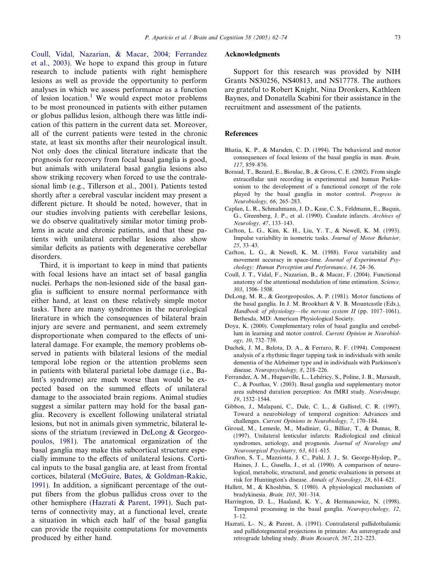<span id="page-11-0"></span>Coull, Vidal, Nazarian, & Macar, 2004; Ferrandez et al., 2003). We hope to expand this group in future research to include patients with right hemisphere lesions as well as provide the opportunity to perform analyses in which we assess performance as a function of lesion location.<sup>1</sup> We would expect motor problems to be most pronounced in patients with either putamen or globus pallidus lesion, although there was little indication of this pattern in the current data set. Moreover, all of the current patients were tested in the chronic state, at least six months after their neurological insult. Not only does the clinical literature indicate that the prognosis for recovery from focal basal ganglia is good, but animals with unilateral basal ganglia lesions also show striking recovery when forced to use the contralesional limb (e.g., Tillerson et al., 2001). Patients tested shortly after a cerebral vascular incident may present a different picture. It should be noted, however, that in our studies involving patients with cerebellar lesions, we do observe qualitatively similar motor timing problems in acute and chronic patients, and that these patients with unilateral cerebellar lesions also show similar deficits as patients with degenerative cerebellar disorders.

Third, it is important to keep in mind that patients with focal lesions have an intact set of basal ganglia nuclei. Perhaps the non-lesioned side of the basal ganglia is sufficient to ensure normal performance with either hand, at least on these relatively simple motor tasks. There are many syndromes in the neurological literature in which the consequences of bilateral brain injury are severe and permanent, and seem extremely disproportionate when compared to the effects of unilateral damage. For example, the memory problems observed in patients with bilateral lesions of the medial temporal lobe region or the attention problems seen in patients with bilateral parietal lobe damage (i.e., Balint's syndrome) are much worse than would be expected based on the summed effects of unilateral damage to the associated brain regions. Animal studies suggest a similar pattern may hold for the basal ganglia. Recovery is excellent following unilateral striatal lesions, but not in animals given symmetric, bilateral lesions of the striatum (reviewed in DeLong & Georgeopoulos, 1981). The anatomical organization of the basal ganglia may make this subcortical structure especially immune to the effects of unilateral lesions. Cortical inputs to the basal ganglia are, at least from frontal cortices, bilateral [\(McGuire, Bates, & Goldman-Rakic,](#page-12-0) [1991](#page-12-0)). In addition, a significant percentage of the output fibers from the globus pallidus cross over to the other hemisphere (Hazrati & Parent, 1991). Such patterns of connectivity may, at a functional level, create a situation in which each half of the basal ganglia can provide the requisite computations for movements produced by either hand.

## Acknowledgments

Support for this research was provided by NIH Grants NS30256, NS40813, and NS17778. The authors are grateful to Robert Knight, Nina Dronkers, Kathleen Baynes, and Donatella Scabini for their assistance in the recruitment and assessment of the patients.

### **References**

- Bhatia, K. P., & Marsden, C. D. (1994). The behavioral and motor consequences of focal lesions of the basal ganglia in man. Brain, 117, 859–876.
- Boraud, T., Bezard, E., Bioulac, B., & Gross, C. E. (2002). From single extracellular unit recording in experimental and human Parkinsonism to the development of a functional concept of the role played by the basal ganglia in motor control. Progress in Neurobiology, 66, 265–283.
- Caplan, L. R., Schmahmann, J. D., Kase, C. S., Feldmann, E., Baquis, G., Greenberg, J. P., et al. (1990). Caudate infarcts. Archives of Neurology, 47, 133–143.
- Carlton, L. G., Kim, K. H., Liu, Y. T., & Newell, K. M. (1993). Impulse variability in isometric tasks. Journal of Motor Behavior, 25, 33–43.
- Carlton, L. G., & Newell, K. M. (1988). Force variability and movement accuracy in space-time. Journal of Experimental Psychology: Human Perception and Performance, 14, 24–36.
- Coull, J. T., Vidal, F., Nazarian, B., & Macar, F. (2004). Functional anatomy of the attentional modulation of time estimation. Science, 303, 1506–1508.
- DeLong, M. R., & Georgeopoulos, A. P. (1981). Motor functions of the basal ganglia. In J. M. Brookhart & V. B. Mountcastle (Eds.), Handbook of physiology—the nervous system II (pp. 1017-1061). Bethesda, MD: American Physiological Society.
- Doya, K. (2000). Complementary roles of basal ganglia and cerebellum in learning and motor control. Current Opinion in Neurobiology, 10, 732–739.
- Duchek, J. M., Balota, D. A., & Ferraro, R. F. (1994). Component analysis of a rhythmic finger tapping task in individuals with senile dementia of the Alzheimer type and in individuals with Parkinson's disease. Neuropsychology, 8, 218–226.
- Ferrandez, A. M., Hugueville, L., Lehéricy, S., Poline, J. B., Marsault, C., & Pouthas, V. (2003). Basal ganglia and supplementary motor area subtend duration perception: An fMRI study. NeuroImage, 19, 1532–1544.
- Gibbon, J., Malapani, C., Dale, C. L., & Gallistel, C. R. (1997). Toward a neurobiology of temporal cognition: Advances and challenges. Current Opinions in Neurobiology, 7, 170–184.
- Giroud, M., Lemesle, M., Madinier, G., Billiar, T., & Dumas, R. (1997). Unilateral lenticular infarcts: Radiological and clinical syndromes, aetiology, and prognosis. Journal of Neurology and Neurosurgical Psychiatry, 63, 611–615.
- Grafton, S. T., Mazziotta, J. C., Pahl, J. J., St. George-Hyslop, P., Haines, J. L., Gusella, J., et al. (1990). A comparison of neurological, metabolic, structural, and genetic evaluations in persons at risk for Huntington's disease. Annals of Neurology, 28, 614-621.
- Hallett, M., & Khoshbin, S. (1980). A physiological mechanism of bradykinesia. Brain, 103, 301–314.
- Harrington, D. L., Haaland, K. Y., & Hermanowicz, N. (1998). Temporal processing in the basal ganglia. Neuropsychology, 12,  $3 - 12$
- Hazrati, L-. N., & Parent, A. (1991). Contralateral pallidothalamic and pallidotegmental projections in primates: An anterograde and retrograde labeling study. Brain Research, 567, 212–223.